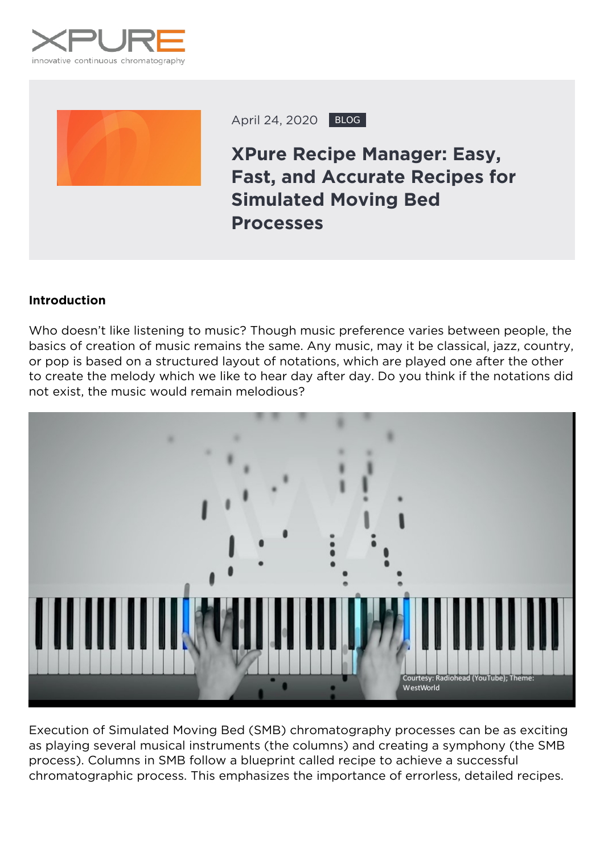



April 24, 2020 BLOG

**XPure Recipe Manager: Easy, Fast, and Accurate Recipes for Simulated Moving Bed Processes**

# **Introduction**

Who doesn't like listening to music? Though music preference varies between people, the basics of creation of music remains the same. Any music, may it be classical, jazz, country, or pop is based on a structured layout of notations, which are played one after the other to create the melody which we like to hear day after day. Do you think if the notations did not exist, the music would remain melodious?



Execution of Simulated Moving Bed (SMB) chromatography processes can be as exciting as playing several musical instruments (the columns) and creating a symphony (the SMB process). Columns in SMB follow a blueprint called recipe to achieve a successful chromatographic process. This emphasizes the importance of errorless, detailed recipes.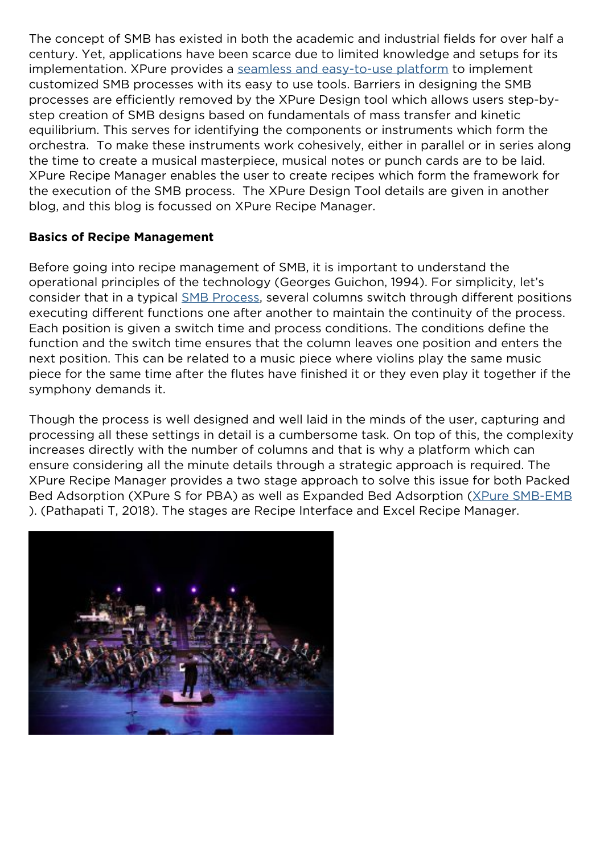The concept of SMB has existed in both the academic and industrial fields for over half a century. Yet, applications have been scarce due to limited knowledge and setups for its implementation. XPure provides a [seamless and easy-to-use platform](https://xpure-systems.com/learn-how-smb-reduces-downstream-processing-costs/) to implement customized SMB processes with its easy to use tools. Barriers in designing the SMB processes are efficiently removed by the XPure Design tool which allows users step-bystep creation of SMB designs based on fundamentals of mass transfer and kinetic equilibrium. This serves for identifying the components or instruments which form the orchestra. To make these instruments work cohesively, either in parallel or in series along the time to create a musical masterpiece, musical notes or punch cards are to be laid. XPure Recipe Manager enables the user to create recipes which form the framework for the execution of the SMB process. The XPure Design Tool details are given in another blog, and this blog is focussed on XPure Recipe Manager.

### **Basics of Recipe Management**

Before going into recipe management of SMB, it is important to understand the operational principles of the technology (Georges Guichon, 1994). For simplicity, let's consider that in a typical **SMB Process**, several columns switch through different positions executing different functions one after another to maintain the continuity of the process. Each position is given a switch time and process conditions. The conditions define the function and the switch time ensures that the column leaves one position and enters the next position. This can be related to a music piece where violins play the same music piece for the same time after the flutes have finished it or they even play it together if the symphony demands it.

Though the process is well designed and well laid in the minds of the user, capturing and processing all these settings in detail is a cumbersome task. On top of this, the complexity increases directly with the number of columns and that is why a platform which can ensure considering all the minute details through a strategic approach is required. The XPure Recipe Manager provides a two stage approach to solve this issue for both Packed Bed Adsorption (XPure S for PBA) as well as Expanded Bed Adsorption ([XPure SMB-EMB](https://onlinelibrary.wiley.com/doi/full/10.1002/ceat.201800293?af=R) ). (Pathapati T, 2018). The stages are Recipe Interface and Excel Recipe Manager.

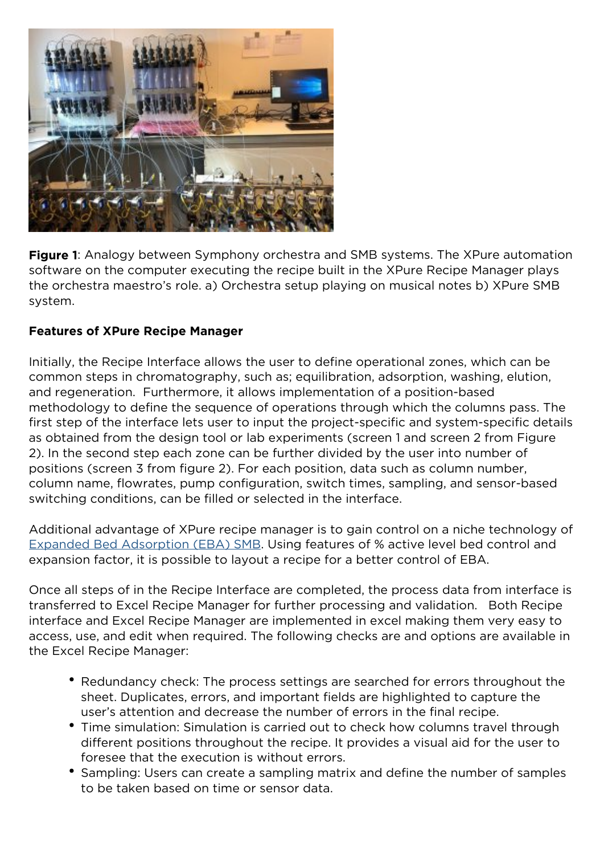

*Figure 1: Analogy between Symphony orchestra and SMB systems. The XPure automation software on the computer executing the recipe built in the XPure Recipe Manager plays the orchestra maestro's role. a) Orchestra setup playing on musical notes b) XPure SMB system.*

### **Features of XPure Recipe Manager**

Initially, the Recipe Interface allows the user to define operational zones, which can be common steps in chromatography, such as; equilibration, adsorption, washing, elution, and regeneration. Furthermore, it allows implementation of a position-based methodology to define the sequence of operations through which the columns pass. The first step of the interface lets user to input the project-specific and system-specific details as obtained from the design tool or lab experiments (screen 1 and screen 2 from Figure 2). In the second step each zone can be further divided by the user into number of positions (screen 3 from figure 2). For each position, data such as column number, column name, flowrates, pump configuration, switch times, sampling, and sensor-based switching conditions, can be filled or selected in the interface.

Additional advantage of XPure recipe manager is to gain control on a niche technology of [Expanded Bed Adsorption \(EBA\) SMB](https://xpure-systems.com/development-strategy-for-eba-smb-processes/). Using features of % active level bed control and expansion factor, it is possible to layout a recipe for a better control of EBA.

Once all steps of in the Recipe Interface are completed, the process data from interface is transferred to Excel Recipe Manager for further processing and validation. Both Recipe interface and Excel Recipe Manager are implemented in excel making them very easy to access, use, and edit when required. The following checks are and options are available in the Excel Recipe Manager:

- Redundancy check: The process settings are searched for errors throughout the sheet. Duplicates, errors, and important fields are highlighted to capture the user's attention and decrease the number of errors in the final recipe.
- Time simulation: Simulation is carried out to check how columns travel through different positions throughout the recipe. It provides a visual aid for the user to foresee that the execution is without errors.
- Sampling: Users can create a sampling matrix and define the number of samples to be taken based on time or sensor data.